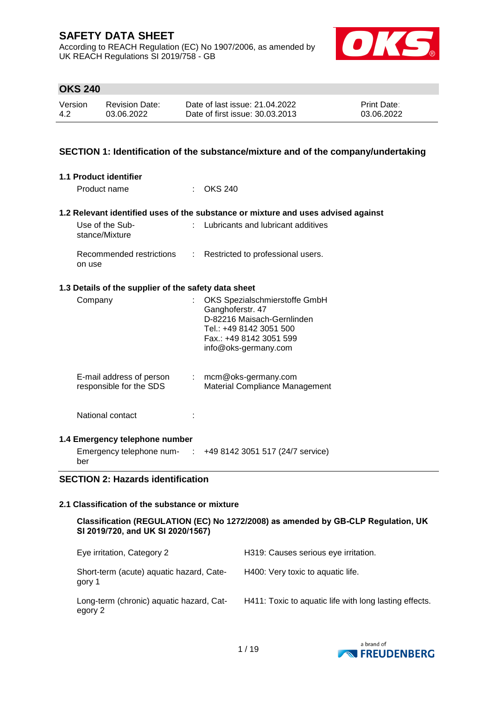According to REACH Regulation (EC) No 1907/2006, as amended by UK REACH Regulations SI 2019/758 - GB



### **OKS 240**

| Version | <b>Revision Date:</b> | Date of last issue: 21.04.2022  | <b>Print Date:</b> |
|---------|-----------------------|---------------------------------|--------------------|
| 4.2     | 03.06.2022            | Date of first issue: 30.03.2013 | 03.06.2022         |

#### **SECTION 1: Identification of the substance/mixture and of the company/undertaking**

| 1.1 Product identifier                               |                                                                                                                                                               |
|------------------------------------------------------|---------------------------------------------------------------------------------------------------------------------------------------------------------------|
| Product name                                         | OKS 240                                                                                                                                                       |
|                                                      | 1.2 Relevant identified uses of the substance or mixture and uses advised against                                                                             |
| Use of the Sub-<br>t.<br>stance/Mixture              | Lubricants and lubricant additives                                                                                                                            |
| Recommended restrictions :<br>on use                 | Restricted to professional users.                                                                                                                             |
| 1.3 Details of the supplier of the safety data sheet |                                                                                                                                                               |
| Company                                              | OKS Spezialschmierstoffe GmbH<br>Ganghoferstr. 47<br>D-82216 Maisach-Gernlinden<br>Tel.: +49 8142 3051 500<br>Fax.: +49 8142 3051 599<br>info@oks-germany.com |
| E-mail address of person<br>responsible for the SDS  | $:$ mcm@oks-germany.com<br>Material Compliance Management                                                                                                     |
| National contact                                     |                                                                                                                                                               |
| 1.4 Emergency telephone number                       |                                                                                                                                                               |
| ber                                                  | Emergency telephone num- : +49 8142 3051 517 (24/7 service)                                                                                                   |
| <b>SECTION 2: Hazards identification</b>             |                                                                                                                                                               |

### **2.1 Classification of the substance or mixture**

| Classification (REGULATION (EC) No 1272/2008) as amended by GB-CLP Regulation, UK |  |
|-----------------------------------------------------------------------------------|--|
| SI 2019/720, and UK SI 2020/1567)                                                 |  |

| Eye irritation, Category 2                          | H319: Causes serious eye irritation.                   |
|-----------------------------------------------------|--------------------------------------------------------|
| Short-term (acute) aquatic hazard, Cate-<br>gory 1  | H400: Very toxic to aquatic life.                      |
| Long-term (chronic) aquatic hazard, Cat-<br>egory 2 | H411: Toxic to aguatic life with long lasting effects. |

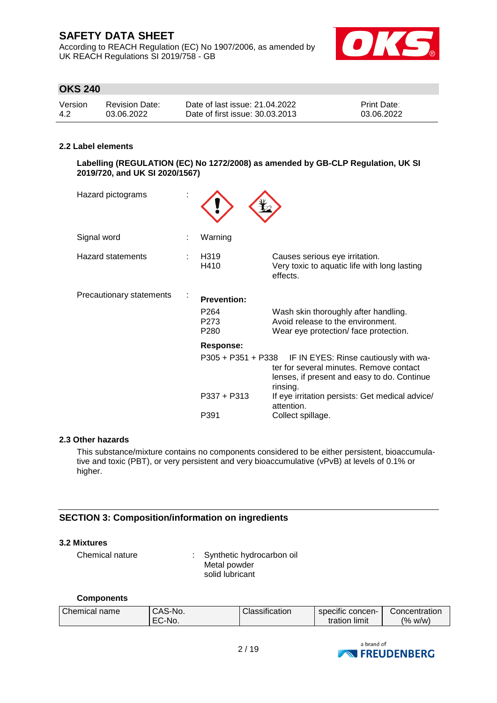According to REACH Regulation (EC) No 1907/2006, as amended by UK REACH Regulations SI 2019/758 - GB



# **OKS 240**

| Version | <b>Revision Date:</b> | Date of last issue: 21.04.2022  | <b>Print Date:</b> |
|---------|-----------------------|---------------------------------|--------------------|
| -4.2    | 03.06.2022            | Date of first issue: 30.03.2013 | 03.06.2022         |

#### **2.2 Label elements**

**Labelling (REGULATION (EC) No 1272/2008) as amended by GB-CLP Regulation, UK SI 2019/720, and UK SI 2020/1567)**

| Hazard pictograms        |                                                                    |                                                                                                                                                                                                                                                      |
|--------------------------|--------------------------------------------------------------------|------------------------------------------------------------------------------------------------------------------------------------------------------------------------------------------------------------------------------------------------------|
| Signal word              | Warning                                                            |                                                                                                                                                                                                                                                      |
| <b>Hazard statements</b> | H319<br>H410                                                       | Causes serious eye irritation.<br>Very toxic to aquatic life with long lasting<br>effects.                                                                                                                                                           |
| Precautionary statements | <b>Prevention:</b><br>P <sub>264</sub><br>P273<br>P <sub>280</sub> | Wash skin thoroughly after handling.<br>Avoid release to the environment.<br>Wear eye protection/face protection.                                                                                                                                    |
|                          | Response:<br>$P337 + P313$<br>P391                                 | P305 + P351 + P338 IF IN EYES: Rinse cautiously with wa-<br>ter for several minutes. Remove contact<br>lenses, if present and easy to do. Continue<br>rinsing.<br>If eye irritation persists: Get medical advice/<br>attention.<br>Collect spillage. |

#### **2.3 Other hazards**

This substance/mixture contains no components considered to be either persistent, bioaccumulative and toxic (PBT), or very persistent and very bioaccumulative (vPvB) at levels of 0.1% or higher.

#### **SECTION 3: Composition/information on ingredients**

#### **3.2 Mixtures**

Chemical nature : Synthetic hydrocarbon oil Metal powder solid lubricant

#### **Components**

| Chemical name | CAS-No. | Classification | specific concen- | Concentration |
|---------------|---------|----------------|------------------|---------------|
|               | EC-No.  |                | tration limit    | (% w/w)       |

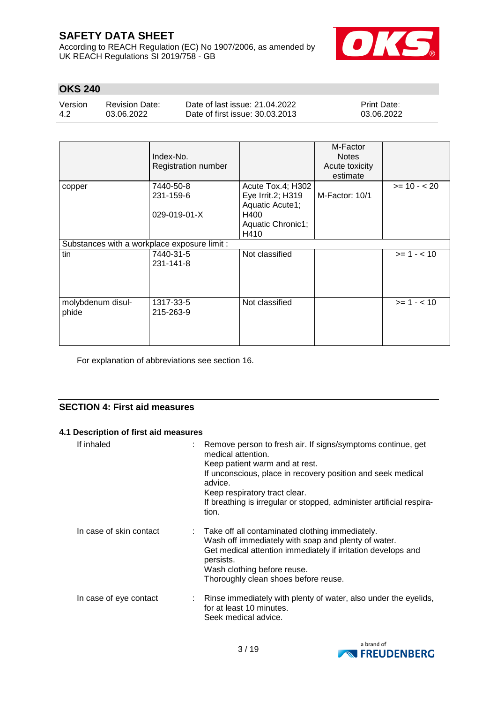According to REACH Regulation (EC) No 1907/2006, as amended by UK REACH Regulations SI 2019/758 - GB



### **OKS 240**

Version 4.2 Revision Date: 03.06.2022

Date of last issue: 21.04.2022 Date of first issue: 30.03.2013 Print Date: 03.06.2022

|                                              | Index-No.<br><b>Registration number</b> |                                                           | M-Factor<br><b>Notes</b><br>Acute toxicity<br>estimate |               |
|----------------------------------------------|-----------------------------------------|-----------------------------------------------------------|--------------------------------------------------------|---------------|
| copper                                       | 7440-50-8<br>231-159-6                  | Acute Tox.4; H302<br>Eye Irrit.2; H319<br>Aquatic Acute1; | M-Factor: 10/1                                         | $>= 10 - 20$  |
|                                              | 029-019-01-X                            | H400<br>Aquatic Chronic1;<br>H410                         |                                                        |               |
| Substances with a workplace exposure limit : |                                         |                                                           |                                                        |               |
| tin                                          | 7440-31-5<br>231-141-8                  | Not classified                                            |                                                        | $>= 1 - < 10$ |
| molybdenum disul-<br>phide                   | 1317-33-5<br>215-263-9                  | Not classified                                            |                                                        | $>= 1 - 10$   |

For explanation of abbreviations see section 16.

### **SECTION 4: First aid measures**

### **4.1 Description of first aid measures**

| If inhaled              | : Remove person to fresh air. If signs/symptoms continue, get<br>medical attention.<br>Keep patient warm and at rest.<br>If unconscious, place in recovery position and seek medical<br>advice.<br>Keep respiratory tract clear.<br>If breathing is irregular or stopped, administer artificial respira-<br>tion. |
|-------------------------|-------------------------------------------------------------------------------------------------------------------------------------------------------------------------------------------------------------------------------------------------------------------------------------------------------------------|
| In case of skin contact | : Take off all contaminated clothing immediately.<br>Wash off immediately with soap and plenty of water.<br>Get medical attention immediately if irritation develops and<br>persists.<br>Wash clothing before reuse.<br>Thoroughly clean shoes before reuse.                                                      |
| In case of eye contact  | : Rinse immediately with plenty of water, also under the eyelids,<br>for at least 10 minutes.<br>Seek medical advice.                                                                                                                                                                                             |

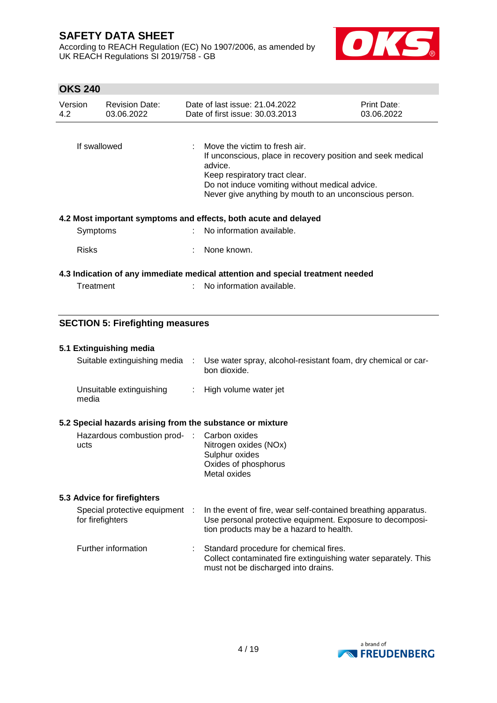According to REACH Regulation (EC) No 1907/2006, as amended by UK REACH Regulations SI 2019/758 - GB



### **OKS 240**

| Version<br>4.2 | <b>Revision Date:</b><br>03.06.2022 | Date of last issue: 21.04.2022<br>Date of first issue: 30.03.2013                                                                                                                                       | <b>Print Date:</b><br>03.06.2022 |  |  |
|----------------|-------------------------------------|---------------------------------------------------------------------------------------------------------------------------------------------------------------------------------------------------------|----------------------------------|--|--|
| If swallowed   |                                     | $\therefore$ Move the victim to fresh air.<br>If unconscious, place in recovery position and seek medical<br>advice.<br>Keep respiratory tract clear.<br>Do not induce vomiting without medical advice. |                                  |  |  |
|                |                                     | Never give anything by mouth to an unconscious person.                                                                                                                                                  |                                  |  |  |
|                |                                     | 4.2 Most important symptoms and effects, both acute and delayed                                                                                                                                         |                                  |  |  |
| Symptoms       |                                     | : No information available.                                                                                                                                                                             |                                  |  |  |
| <b>Risks</b>   |                                     | None known.                                                                                                                                                                                             |                                  |  |  |
|                |                                     | 4.3 Indication of any immediate medical attention and special treatment needed                                                                                                                          |                                  |  |  |
| Treatment      |                                     | No information available.                                                                                                                                                                               |                                  |  |  |

# **SECTION 5: Firefighting measures**

#### **5.1 Extinguishing media**

| Suitable extinguishing media                          | - 11 | Use water spray, alcohol-resistant foam, dry chemical or car-<br>bon dioxide. |
|-------------------------------------------------------|------|-------------------------------------------------------------------------------|
| Unsuitable extinguishing<br>media                     |      | : High volume water jet                                                       |
| Paaaial hazarda arioing fram the cubetanee ar mivture |      |                                                                               |

### **5.2 Special hazards arising from the substance or mixture**

| Hazardous combustion prod- : Carbon oxides |                       |
|--------------------------------------------|-----------------------|
| ucts                                       | Nitrogen oxides (NOx) |
|                                            | Sulphur oxides        |
|                                            | Oxides of phosphorus  |
|                                            | Metal oxides          |

#### **5.3 Advice for firefighters**

| Special protective equipment :<br>for firefighters | In the event of fire, wear self-contained breathing apparatus.<br>Use personal protective equipment. Exposure to decomposi-<br>tion products may be a hazard to health. |
|----------------------------------------------------|-------------------------------------------------------------------------------------------------------------------------------------------------------------------------|
| Further information                                | Standard procedure for chemical fires.<br>Collect contaminated fire extinguishing water separately. This<br>must not be discharged into drains.                         |

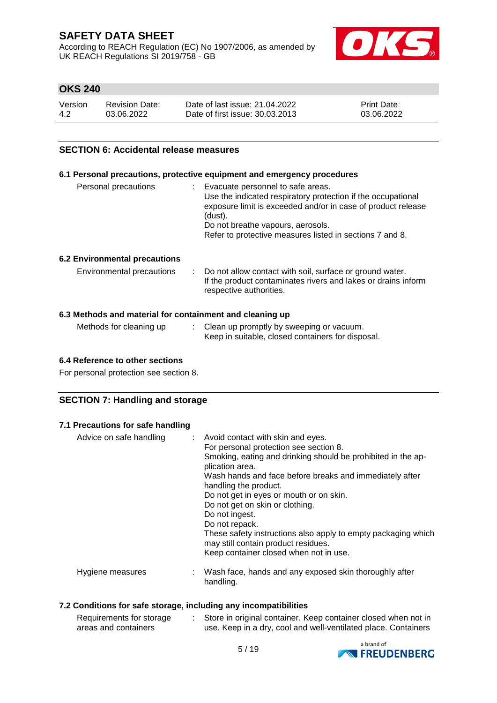According to REACH Regulation (EC) No 1907/2006, as amended by UK REACH Regulations SI 2019/758 - GB



### **OKS 240**

| Version | Revision Date: | Date of last issue: 21.04.2022  | <b>Print Date:</b> |
|---------|----------------|---------------------------------|--------------------|
| -4.2    | 03.06.2022     | Date of first issue: 30.03.2013 | 03.06.2022         |

### **SECTION 6: Accidental release measures**

#### **6.1 Personal precautions, protective equipment and emergency procedures**

| Personal precautions | Evacuate personnel to safe areas.                            |
|----------------------|--------------------------------------------------------------|
|                      | Use the indicated respiratory protection if the occupational |
|                      | exposure limit is exceeded and/or in case of product release |
|                      | (dust).                                                      |
|                      | Do not breathe vapours, aerosols.                            |
|                      | Refer to protective measures listed in sections 7 and 8.     |
|                      |                                                              |

#### **6.2 Environmental precautions**

| Environmental precautions | : Do not allow contact with soil, surface or ground water.    |
|---------------------------|---------------------------------------------------------------|
|                           | If the product contaminates rivers and lakes or drains inform |
|                           | respective authorities.                                       |

#### **6.3 Methods and material for containment and cleaning up**

| Methods for cleaning up | Clean up promptly by sweeping or vacuum.          |  |
|-------------------------|---------------------------------------------------|--|
|                         | Keep in suitable, closed containers for disposal. |  |

#### **6.4 Reference to other sections**

For personal protection see section 8.

### **SECTION 7: Handling and storage**

#### **7.1 Precautions for safe handling**

| Advice on safe handling | : Avoid contact with skin and eyes.<br>For personal protection see section 8.<br>Smoking, eating and drinking should be prohibited in the ap-<br>plication area.<br>Wash hands and face before breaks and immediately after<br>handling the product.<br>Do not get in eyes or mouth or on skin.<br>Do not get on skin or clothing.<br>Do not ingest.<br>Do not repack.<br>These safety instructions also apply to empty packaging which<br>may still contain product residues.<br>Keep container closed when not in use. |
|-------------------------|--------------------------------------------------------------------------------------------------------------------------------------------------------------------------------------------------------------------------------------------------------------------------------------------------------------------------------------------------------------------------------------------------------------------------------------------------------------------------------------------------------------------------|
| Hygiene measures        | Wash face, hands and any exposed skin thoroughly after<br>handling.                                                                                                                                                                                                                                                                                                                                                                                                                                                      |

#### **7.2 Conditions for safe storage, including any incompatibilities**

| Requirements for storage | Store in original container. Keep container closed when not in |
|--------------------------|----------------------------------------------------------------|
| areas and containers     | use. Keep in a dry, cool and well-ventilated place. Containers |

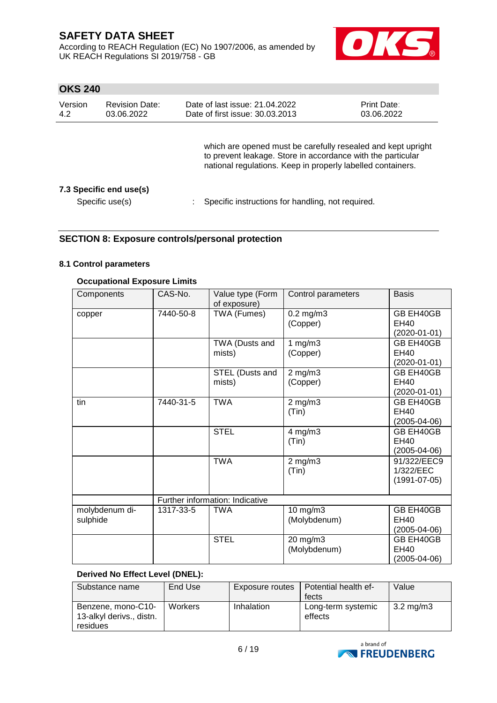According to REACH Regulation (EC) No 1907/2006, as amended by UK REACH Regulations SI 2019/758 - GB



### **OKS 240**

| Version<br>4.2 | <b>Revision Date:</b><br>03.06.2022        | Date of last issue: 21.04.2022<br>Date of first issue: 30.03.2013                                                                                                                          | <b>Print Date:</b><br>03.06.2022 |
|----------------|--------------------------------------------|--------------------------------------------------------------------------------------------------------------------------------------------------------------------------------------------|----------------------------------|
|                |                                            | which are opened must be carefully resealed and kept upright<br>to prevent leakage. Store in accordance with the particular<br>national regulations. Keep in properly labelled containers. |                                  |
|                | 7.3 Specific end use(s)<br>Specific use(s) | Specific instructions for handling, not required.                                                                                                                                          |                                  |

### **SECTION 8: Exposure controls/personal protection**

#### **8.1 Control parameters**

#### **Occupational Exposure Limits**

| Components                 | CAS-No.   | Value type (Form<br>of exposure) | Control parameters             | <b>Basis</b>                                   |
|----------------------------|-----------|----------------------------------|--------------------------------|------------------------------------------------|
| copper                     | 7440-50-8 | TWA (Fumes)                      | $0.2$ mg/m $3$<br>(Copper)     | GB EH40GB<br><b>EH40</b><br>$(2020 - 01 - 01)$ |
|                            |           | TWA (Dusts and<br>mists)         | 1 $mg/m3$<br>(Copper)          | GB EH40GB<br><b>EH40</b><br>(2020-01-01)       |
|                            |           | STEL (Dusts and<br>mists)        | $2$ mg/m $3$<br>(Copper)       | GB EH40GB<br><b>EH40</b><br>$(2020-01-01)$     |
| tin                        | 7440-31-5 | <b>TWA</b>                       | $2$ mg/m $3$<br>(Tin)          | GB EH40GB<br><b>EH40</b><br>(2005-04-06)       |
|                            |           | <b>STEL</b>                      | 4 mg/m $\overline{3}$<br>(Tin) | GB EH40GB<br><b>EH40</b><br>$(2005 - 04 - 06)$ |
|                            |           | <b>TWA</b>                       | $2$ mg/m $3$<br>(Tin)          | 91/322/EEC9<br>1/322/EEC<br>$(1991 - 07 - 05)$ |
|                            |           | Further information: Indicative  |                                |                                                |
| molybdenum di-<br>sulphide | 1317-33-5 | <b>TWA</b>                       | $10$ mg/m $3$<br>(Molybdenum)  | GB EH40GB<br>EH40<br>$(2005 - 04 - 06)$        |
|                            |           | <b>STEL</b>                      | 20 mg/m3<br>(Molybdenum)       | GB EH40GB<br>EH40<br>(2005-04-06)              |

#### **Derived No Effect Level (DNEL):**

| Substance name                                             | End Use        | Exposure routes | Potential health ef-          | Value              |
|------------------------------------------------------------|----------------|-----------------|-------------------------------|--------------------|
|                                                            |                |                 | fects                         |                    |
| Benzene, mono-C10-<br>13-alkyl derivs., distn.<br>residues | <b>Workers</b> | Inhalation      | Long-term systemic<br>effects | $3.2 \text{ mg/m}$ |

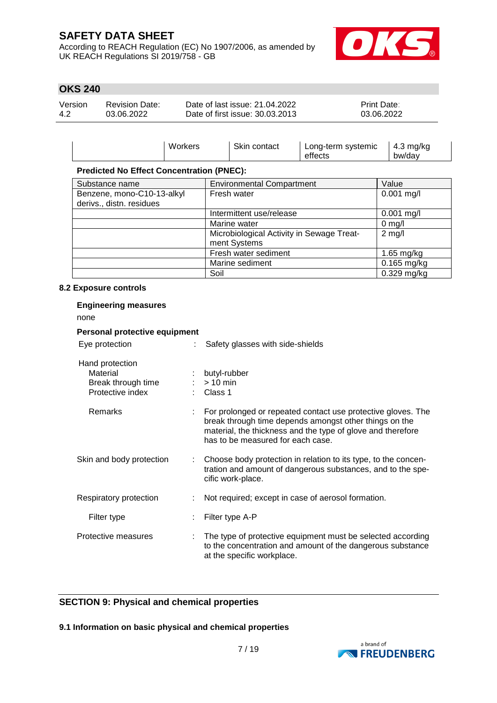According to REACH Regulation (EC) No 1907/2006, as amended by UK REACH Regulations SI 2019/758 - GB



### **OKS 240**

| Version | Revision Date: | Date of last issue: 21.04.2022  | <b>Print Date:</b> |
|---------|----------------|---------------------------------|--------------------|
| 4.2     | 03.06.2022     | Date of first issue: 30.03.2013 | 03.06.2022         |

|                                                        | Workers | Skin contact                                              | Long-term systemic<br>effects | $4.3$ mg/kg<br>bw/day |
|--------------------------------------------------------|---------|-----------------------------------------------------------|-------------------------------|-----------------------|
| <b>Predicted No Effect Concentration (PNEC):</b>       |         |                                                           |                               |                       |
| Substance name                                         |         | <b>Environmental Compartment</b>                          |                               | Value                 |
| Benzene, mono-C10-13-alkyl<br>derivs., distn. residues |         | Fresh water                                               |                               | $0.001$ mg/l          |
|                                                        |         | Intermittent use/release                                  |                               | $0.001$ mg/l          |
|                                                        |         | Marine water                                              |                               | $0 \text{ mg/l}$      |
|                                                        |         | Microbiological Activity in Sewage Treat-<br>ment Systems |                               | $2 \text{ mg/l}$      |
|                                                        |         | Fresh water sediment                                      |                               | 1.65 mg/kg            |
|                                                        |         | Marine sediment                                           |                               | $0.165$ mg/kg         |
|                                                        |         | Soil                                                      |                               | $0.329$ mg/kg         |

#### **8.2 Exposure controls**

| <b>Engineering measures</b><br>none                                   |  |                                                                                                                                                                                                                            |  |  |  |  |  |  |
|-----------------------------------------------------------------------|--|----------------------------------------------------------------------------------------------------------------------------------------------------------------------------------------------------------------------------|--|--|--|--|--|--|
| Personal protective equipment                                         |  |                                                                                                                                                                                                                            |  |  |  |  |  |  |
| Eye protection                                                        |  | Safety glasses with side-shields                                                                                                                                                                                           |  |  |  |  |  |  |
| Hand protection<br>Material<br>Break through time<br>Protective index |  | butyl-rubber<br>$> 10$ min<br>Class 1                                                                                                                                                                                      |  |  |  |  |  |  |
| <b>Remarks</b>                                                        |  | For prolonged or repeated contact use protective gloves. The<br>break through time depends amongst other things on the<br>material, the thickness and the type of glove and therefore<br>has to be measured for each case. |  |  |  |  |  |  |
| Skin and body protection                                              |  | Choose body protection in relation to its type, to the concen-<br>tration and amount of dangerous substances, and to the spe-<br>cific work-place.                                                                         |  |  |  |  |  |  |
| Respiratory protection                                                |  | Not required; except in case of aerosol formation.                                                                                                                                                                         |  |  |  |  |  |  |
| Filter type                                                           |  | Filter type A-P                                                                                                                                                                                                            |  |  |  |  |  |  |
| Protective measures                                                   |  | The type of protective equipment must be selected according<br>to the concentration and amount of the dangerous substance<br>at the specific workplace.                                                                    |  |  |  |  |  |  |

### **SECTION 9: Physical and chemical properties**

### **9.1 Information on basic physical and chemical properties**

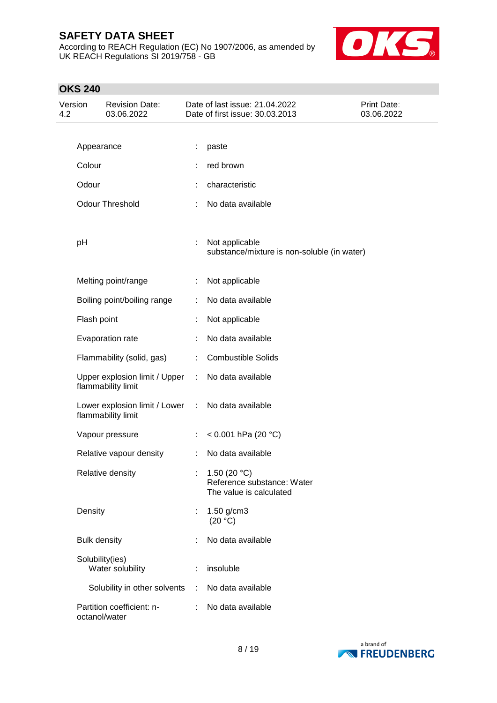According to REACH Regulation (EC) No 1907/2006, as amended by UK REACH Regulations SI 2019/758 - GB



| Version<br><b>Revision Date:</b><br>4.2<br>03.06.2022 |                     |                                                       | Date of last issue: 21.04.2022<br>Date of first issue: 30.03.2013 | Print Date:<br>03.06.2022                                               |  |
|-------------------------------------------------------|---------------------|-------------------------------------------------------|-------------------------------------------------------------------|-------------------------------------------------------------------------|--|
|                                                       |                     |                                                       |                                                                   |                                                                         |  |
|                                                       | Appearance          |                                                       | ÷                                                                 | paste                                                                   |  |
|                                                       | Colour              |                                                       |                                                                   | red brown                                                               |  |
|                                                       | Odour               |                                                       |                                                                   | characteristic                                                          |  |
|                                                       |                     | <b>Odour Threshold</b>                                |                                                                   | No data available                                                       |  |
|                                                       |                     |                                                       |                                                                   |                                                                         |  |
|                                                       | pH                  |                                                       | ÷                                                                 | Not applicable<br>substance/mixture is non-soluble (in water)           |  |
|                                                       |                     | Melting point/range                                   | ÷                                                                 | Not applicable                                                          |  |
|                                                       |                     | Boiling point/boiling range                           | ÷                                                                 | No data available                                                       |  |
|                                                       | Flash point         |                                                       |                                                                   | Not applicable                                                          |  |
|                                                       |                     | Evaporation rate                                      |                                                                   | No data available                                                       |  |
|                                                       |                     | Flammability (solid, gas)                             | ÷                                                                 | <b>Combustible Solids</b>                                               |  |
|                                                       |                     | Upper explosion limit / Upper<br>flammability limit   | $\mathbb{R}^n$                                                    | No data available                                                       |  |
|                                                       |                     | Lower explosion limit / Lower :<br>flammability limit |                                                                   | No data available                                                       |  |
|                                                       |                     | Vapour pressure                                       | ÷.                                                                | < $0.001$ hPa (20 °C)                                                   |  |
|                                                       |                     | Relative vapour density                               | ÷                                                                 | No data available                                                       |  |
|                                                       |                     | Relative density                                      |                                                                   | 1.50 $(20 °C)$<br>Reference substance: Water<br>The value is calculated |  |
|                                                       | Density             |                                                       | t                                                                 | 1.50 g/cm3<br>(20 °C)                                                   |  |
|                                                       | <b>Bulk density</b> |                                                       |                                                                   | No data available                                                       |  |
|                                                       | Solubility(ies)     | Water solubility                                      | ÷                                                                 | insoluble                                                               |  |
|                                                       |                     | Solubility in other solvents                          |                                                                   | : No data available                                                     |  |
|                                                       | octanol/water       | Partition coefficient: n-                             |                                                                   | No data available                                                       |  |

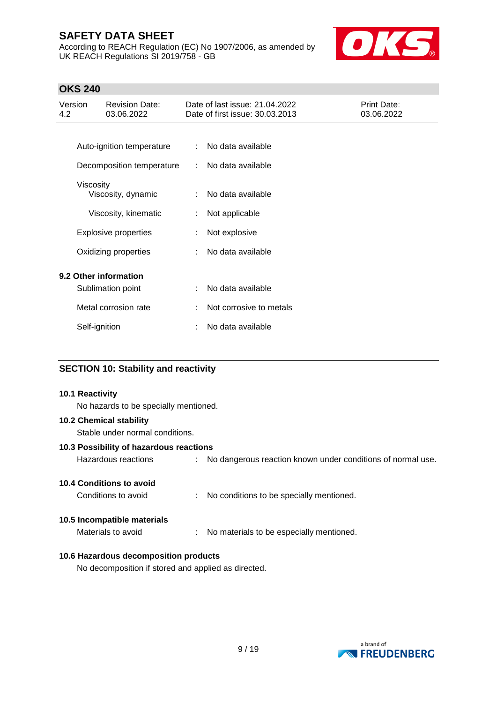According to REACH Regulation (EC) No 1907/2006, as amended by UK REACH Regulations SI 2019/758 - GB



### **OKS 240**

| Version<br><b>Revision Date:</b><br>03.06.2022<br>4.2 |               |                             | Date of last issue: 21.04.2022<br><b>Print Date:</b><br>Date of first issue: 30.03.2013<br>03.06.2022 |                         |  |
|-------------------------------------------------------|---------------|-----------------------------|-------------------------------------------------------------------------------------------------------|-------------------------|--|
|                                                       |               |                             |                                                                                                       |                         |  |
|                                                       |               | Auto-ignition temperature   | $\mathbb{R}^n$                                                                                        | No data available       |  |
|                                                       |               | Decomposition temperature   | $\mathbb{R}^n$                                                                                        | No data available       |  |
|                                                       | Viscosity     | Viscosity, dynamic          | ÷                                                                                                     | No data available       |  |
|                                                       |               | Viscosity, kinematic        | ÷                                                                                                     | Not applicable          |  |
|                                                       |               | <b>Explosive properties</b> | ÷                                                                                                     | Not explosive           |  |
|                                                       |               | Oxidizing properties        |                                                                                                       | No data available       |  |
|                                                       |               | 9.2 Other information       |                                                                                                       |                         |  |
|                                                       |               | Sublimation point           |                                                                                                       | No data available       |  |
|                                                       |               | Metal corrosion rate        |                                                                                                       | Not corrosive to metals |  |
|                                                       | Self-ignition |                             |                                                                                                       | No data available       |  |

### **SECTION 10: Stability and reactivity**

#### **10.1 Reactivity**

No hazards to be specially mentioned.

#### **10.2 Chemical stability**

Stable under normal conditions.

#### **10.3 Possibility of hazardous reactions**

| Hazardous reactions |  | No dangerous reaction known under conditions of normal use. |
|---------------------|--|-------------------------------------------------------------|
|---------------------|--|-------------------------------------------------------------|

### **10.4 Conditions to avoid**

Conditions to avoid : No conditions to be specially mentioned.

#### **10.5 Incompatible materials**

Materials to avoid : No materials to be especially mentioned.

### **10.6 Hazardous decomposition products**

No decomposition if stored and applied as directed.

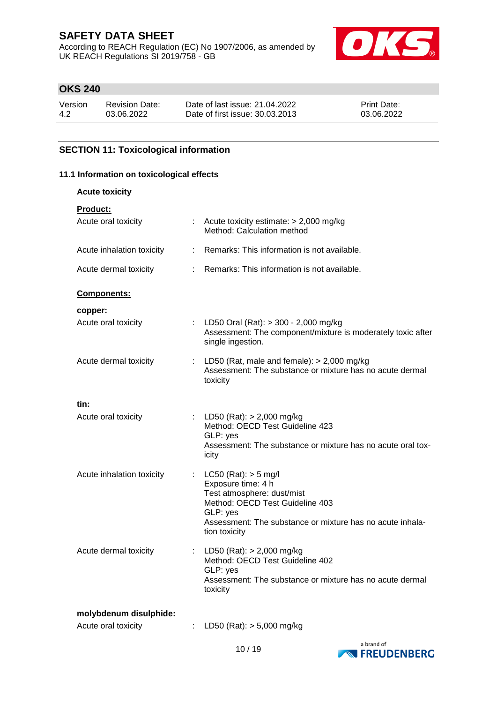According to REACH Regulation (EC) No 1907/2006, as amended by UK REACH Regulations SI 2019/758 - GB



### **OKS 240**

| Version | <b>Revision Date:</b> | Date of last issue: 21.04.2022  | <b>Print Date:</b> |
|---------|-----------------------|---------------------------------|--------------------|
| 4.2     | 03.06.2022            | Date of first issue: 30.03.2013 | 03.06.2022         |

### **SECTION 11: Toxicological information**

#### **11.1 Information on toxicological effects**

| <b>Acute toxicity</b>     |    |                                                                                                                                                                                                           |
|---------------------------|----|-----------------------------------------------------------------------------------------------------------------------------------------------------------------------------------------------------------|
| Product:                  |    |                                                                                                                                                                                                           |
| Acute oral toxicity       |    | : Acute toxicity estimate: $> 2,000$ mg/kg<br>Method: Calculation method                                                                                                                                  |
| Acute inhalation toxicity |    | : Remarks: This information is not available.                                                                                                                                                             |
| Acute dermal toxicity     |    | : Remarks: This information is not available.                                                                                                                                                             |
| Components:               |    |                                                                                                                                                                                                           |
| copper:                   |    |                                                                                                                                                                                                           |
| Acute oral toxicity       |    | : LD50 Oral (Rat): > 300 - 2,000 mg/kg<br>Assessment: The component/mixture is moderately toxic after<br>single ingestion.                                                                                |
| Acute dermal toxicity     |    | : LD50 (Rat, male and female): $> 2,000$ mg/kg<br>Assessment: The substance or mixture has no acute dermal<br>toxicity                                                                                    |
| tin:                      |    |                                                                                                                                                                                                           |
| Acute oral toxicity       |    | : LD50 (Rat): $> 2,000$ mg/kg<br>Method: OECD Test Guideline 423<br>GLP: yes<br>Assessment: The substance or mixture has no acute oral tox-<br>icity                                                      |
| Acute inhalation toxicity |    | : LC50 (Rat): $>$ 5 mg/l<br>Exposure time: 4 h<br>Test atmosphere: dust/mist<br>Method: OECD Test Guideline 403<br>GLP: yes<br>Assessment: The substance or mixture has no acute inhala-<br>tion toxicity |
| Acute dermal toxicity     | t. | LD50 (Rat): $> 2,000$ mg/kg<br>Method: OECD Test Guideline 402<br>GLP: yes<br>Assessment: The substance or mixture has no acute dermal<br>toxicity                                                        |
| molybdenum disulphide:    |    |                                                                                                                                                                                                           |

| Acute oral toxicity | LD50 (Rat): $> 5,000$ mg/kg |
|---------------------|-----------------------------|
|---------------------|-----------------------------|

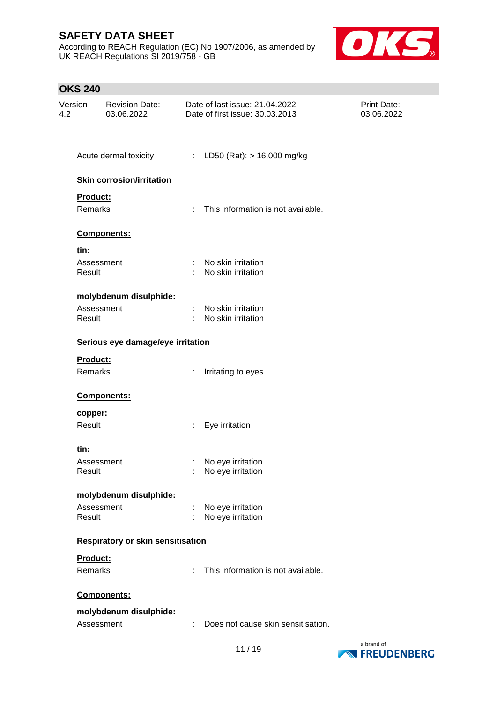According to REACH Regulation (EC) No 1907/2006, as amended by UK REACH Regulations SI 2019/758 - GB



| Version<br>4.2 |                      | <b>Revision Date:</b><br>03.06.2022 |                             | Date of last issue: 21.04.2022<br>Date of first issue: 30.03.2013 | Print Date:<br>03.06.2022 |
|----------------|----------------------|-------------------------------------|-----------------------------|-------------------------------------------------------------------|---------------------------|
|                |                      |                                     |                             |                                                                   |                           |
|                |                      | Acute dermal toxicity               |                             | : LD50 (Rat): $> 16,000$ mg/kg                                    |                           |
|                |                      | <b>Skin corrosion/irritation</b>    |                             |                                                                   |                           |
|                | Product:<br>Remarks  |                                     | $\mathcal{L}^{\mathcal{L}}$ | This information is not available.                                |                           |
|                |                      | Components:                         |                             |                                                                   |                           |
|                | tin:                 |                                     |                             |                                                                   |                           |
|                | Assessment<br>Result |                                     | ÷                           | No skin irritation<br>No skin irritation                          |                           |
|                |                      | molybdenum disulphide:              |                             |                                                                   |                           |
|                | Assessment<br>Result |                                     |                             | : No skin irritation<br>No skin irritation                        |                           |
|                |                      | Serious eye damage/eye irritation   |                             |                                                                   |                           |
|                | Product:             |                                     |                             |                                                                   |                           |
|                | Remarks              |                                     | ÷                           | Irritating to eyes.                                               |                           |
|                |                      | Components:                         |                             |                                                                   |                           |
|                | copper:              |                                     |                             |                                                                   |                           |
|                | Result               |                                     | ÷                           | Eye irritation                                                    |                           |
|                | tin:                 |                                     |                             |                                                                   |                           |
|                | Assessment           |                                     |                             | No eye irritation                                                 |                           |
|                | Result               |                                     |                             | No eye irritation                                                 |                           |
|                |                      | molybdenum disulphide:              |                             |                                                                   |                           |
|                | Assessment<br>Result |                                     |                             | No eye irritation<br>No eye irritation                            |                           |
|                |                      | Respiratory or skin sensitisation   |                             |                                                                   |                           |
|                | Product:             |                                     |                             |                                                                   |                           |
|                | Remarks              |                                     | ÷                           | This information is not available.                                |                           |
|                |                      | Components:                         |                             |                                                                   |                           |
|                |                      | molybdenum disulphide:              |                             |                                                                   |                           |
|                | Assessment           |                                     | ÷                           | Does not cause skin sensitisation.                                |                           |

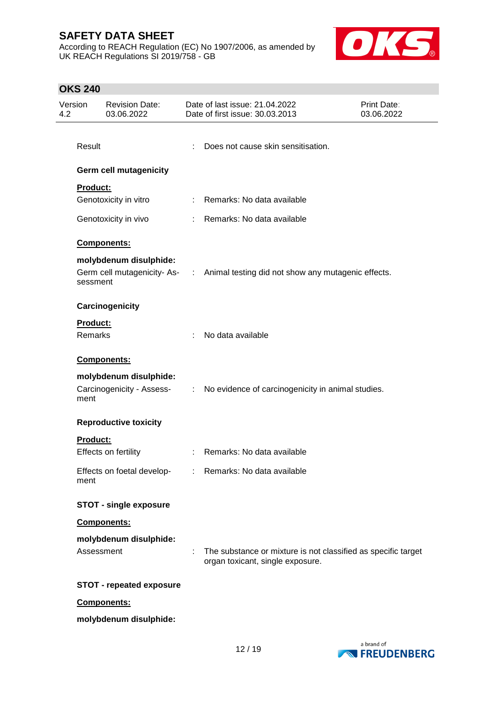According to REACH Regulation (EC) No 1907/2006, as amended by UK REACH Regulations SI 2019/758 - GB



| Version<br><b>Revision Date:</b><br>4.2<br>03.06.2022 |                 |                                                     | Date of last issue: 21.04.2022<br>Print Date:<br>Date of first issue: 30.03.2013<br>03.06.2022 |                                                                                                   |  |
|-------------------------------------------------------|-----------------|-----------------------------------------------------|------------------------------------------------------------------------------------------------|---------------------------------------------------------------------------------------------------|--|
|                                                       | Result          |                                                     | ÷                                                                                              | Does not cause skin sensitisation.                                                                |  |
|                                                       |                 | <b>Germ cell mutagenicity</b>                       |                                                                                                |                                                                                                   |  |
|                                                       | <b>Product:</b> |                                                     |                                                                                                |                                                                                                   |  |
|                                                       |                 | Genotoxicity in vitro                               | t.                                                                                             | Remarks: No data available                                                                        |  |
|                                                       |                 | Genotoxicity in vivo                                |                                                                                                | : Remarks: No data available                                                                      |  |
|                                                       |                 | Components:                                         |                                                                                                |                                                                                                   |  |
|                                                       |                 | molybdenum disulphide:                              |                                                                                                |                                                                                                   |  |
|                                                       | sessment        |                                                     |                                                                                                | Germ cell mutagenicity-As- : Animal testing did not show any mutagenic effects.                   |  |
|                                                       |                 | Carcinogenicity                                     |                                                                                                |                                                                                                   |  |
|                                                       | <b>Product:</b> |                                                     |                                                                                                |                                                                                                   |  |
|                                                       | Remarks         |                                                     | t.                                                                                             | No data available                                                                                 |  |
|                                                       |                 | Components:                                         |                                                                                                |                                                                                                   |  |
|                                                       | ment            | molybdenum disulphide:<br>Carcinogenicity - Assess- | $\mathcal{I}^{\mathcal{A}}$ .                                                                  | No evidence of carcinogenicity in animal studies.                                                 |  |
|                                                       |                 | <b>Reproductive toxicity</b>                        |                                                                                                |                                                                                                   |  |
|                                                       | <b>Product:</b> |                                                     |                                                                                                |                                                                                                   |  |
|                                                       |                 | Effects on fertility                                |                                                                                                | : Remarks: No data available                                                                      |  |
|                                                       | ment            | Effects on foetal develop-                          |                                                                                                | : Remarks: No data available                                                                      |  |
|                                                       |                 | <b>STOT - single exposure</b>                       |                                                                                                |                                                                                                   |  |
|                                                       |                 | Components:                                         |                                                                                                |                                                                                                   |  |
|                                                       |                 | molybdenum disulphide:                              |                                                                                                |                                                                                                   |  |
|                                                       | Assessment      |                                                     | ÷.                                                                                             | The substance or mixture is not classified as specific target<br>organ toxicant, single exposure. |  |
|                                                       |                 | <b>STOT - repeated exposure</b>                     |                                                                                                |                                                                                                   |  |
|                                                       |                 | Components:                                         |                                                                                                |                                                                                                   |  |
|                                                       |                 | molybdenum disulphide:                              |                                                                                                |                                                                                                   |  |
|                                                       |                 |                                                     |                                                                                                |                                                                                                   |  |

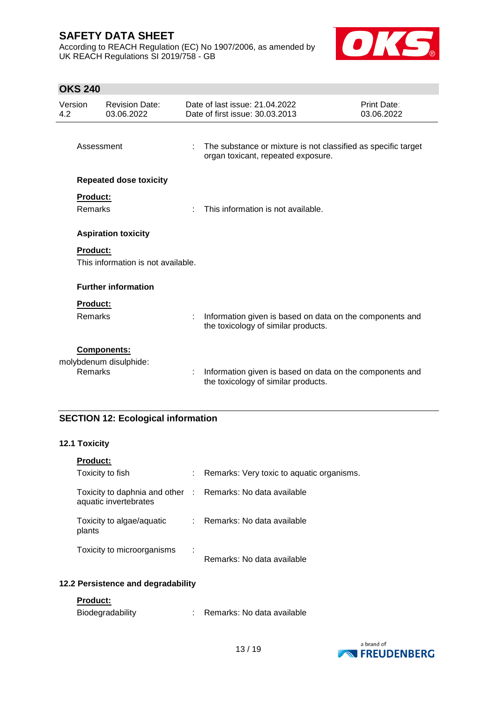According to REACH Regulation (EC) No 1907/2006, as amended by UK REACH Regulations SI 2019/758 - GB



### **OKS 240**

| Version<br>4.2 |                            | <b>Revision Date:</b><br>03.06.2022          |    | Date of last issue: 21.04.2022<br>Date of first issue: 30.03.2013                                   | Print Date:<br>03.06.2022 |
|----------------|----------------------------|----------------------------------------------|----|-----------------------------------------------------------------------------------------------------|---------------------------|
|                | Assessment                 |                                              | t  | The substance or mixture is not classified as specific target<br>organ toxicant, repeated exposure. |                           |
|                |                            | <b>Repeated dose toxicity</b>                |    |                                                                                                     |                           |
|                | <b>Product:</b><br>Remarks |                                              | ٠  | This information is not available.                                                                  |                           |
|                |                            | <b>Aspiration toxicity</b>                   |    |                                                                                                     |                           |
|                | <b>Product:</b>            | This information is not available.           |    |                                                                                                     |                           |
|                |                            | <b>Further information</b>                   |    |                                                                                                     |                           |
|                | <b>Product:</b><br>Remarks |                                              | t, | Information given is based on data on the components and<br>the toxicology of similar products.     |                           |
|                | Remarks                    | <b>Components:</b><br>molybdenum disulphide: | t  | Information given is based on data on the components and<br>the toxicology of similar products.     |                           |

# **SECTION 12: Ecological information**

### **12.1 Toxicity**

| <b>Product:</b>                                                                     |   |                                           |
|-------------------------------------------------------------------------------------|---|-------------------------------------------|
| Toxicity to fish                                                                    |   | Remarks: Very toxic to aquatic organisms. |
| Toxicity to daphnia and other : Remarks: No data available<br>aquatic invertebrates |   |                                           |
| Toxicity to algae/aquatic<br>plants                                                 |   | Remarks: No data available                |
| Toxicity to microorganisms                                                          | ÷ | Remarks: No data available                |

#### **12.2 Persistence and degradability**

### **Product:**

| Biodegradability |  | Remarks: No data available |  |  |
|------------------|--|----------------------------|--|--|
|------------------|--|----------------------------|--|--|

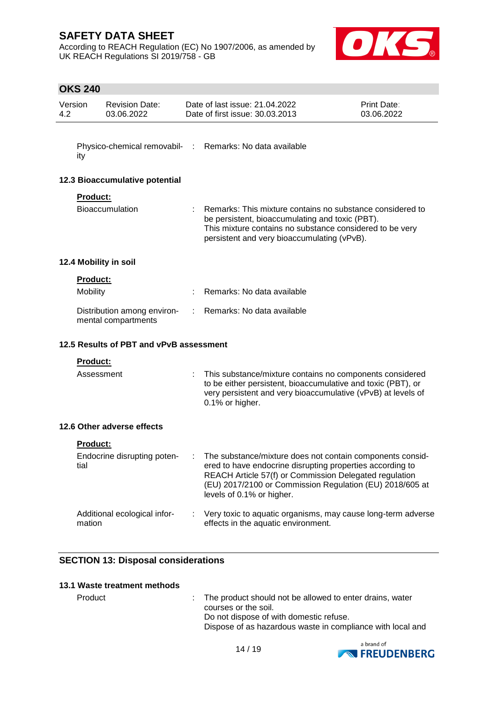According to REACH Regulation (EC) No 1907/2006, as amended by UK REACH Regulations SI 2019/758 - GB



### **OKS 240**

| Version<br>4.2 |                      | <b>Revision Date:</b><br>03.06.2022                |   | Date of last issue: 21.04.2022<br>Date of first issue: 30.03.2013                                                                                                                                                                                                         | Print Date:<br>03.06.2022 |
|----------------|----------------------|----------------------------------------------------|---|---------------------------------------------------------------------------------------------------------------------------------------------------------------------------------------------------------------------------------------------------------------------------|---------------------------|
|                | ity                  |                                                    |   | Physico-chemical removabil- : Remarks: No data available                                                                                                                                                                                                                  |                           |
|                |                      | 12.3 Bioaccumulative potential                     |   |                                                                                                                                                                                                                                                                           |                           |
|                | <b>Product:</b>      | <b>Bioaccumulation</b>                             |   | Remarks: This mixture contains no substance considered to<br>be persistent, bioaccumulating and toxic (PBT).<br>This mixture contains no substance considered to be very<br>persistent and very bioaccumulating (vPvB).                                                   |                           |
|                |                      | 12.4 Mobility in soil                              |   |                                                                                                                                                                                                                                                                           |                           |
|                | Product:<br>Mobility |                                                    |   | Remarks: No data available                                                                                                                                                                                                                                                |                           |
|                |                      | Distribution among environ-<br>mental compartments | ÷ | Remarks: No data available                                                                                                                                                                                                                                                |                           |
|                |                      | 12.5 Results of PBT and vPvB assessment            |   |                                                                                                                                                                                                                                                                           |                           |
|                | <b>Product:</b>      |                                                    |   |                                                                                                                                                                                                                                                                           |                           |
|                | Assessment           |                                                    |   | This substance/mixture contains no components considered<br>to be either persistent, bioaccumulative and toxic (PBT), or<br>very persistent and very bioaccumulative (vPvB) at levels of<br>0.1% or higher.                                                               |                           |
|                |                      | 12.6 Other adverse effects                         |   |                                                                                                                                                                                                                                                                           |                           |
|                | Product:             |                                                    |   |                                                                                                                                                                                                                                                                           |                           |
|                | tial                 | Endocrine disrupting poten-                        |   | The substance/mixture does not contain components consid-<br>ered to have endocrine disrupting properties according to<br>REACH Article 57(f) or Commission Delegated regulation<br>(EU) 2017/2100 or Commission Regulation (EU) 2018/605 at<br>levels of 0.1% or higher. |                           |
|                | mation               | Additional ecological infor-                       |   | Very toxic to aquatic organisms, may cause long-term adverse<br>effects in the aquatic environment.                                                                                                                                                                       |                           |

### **SECTION 13: Disposal considerations**

#### **13.1 Waste treatment methods**

Product : The product should not be allowed to enter drains, water courses or the soil. Do not dispose of with domestic refuse. Dispose of as hazardous waste in compliance with local and

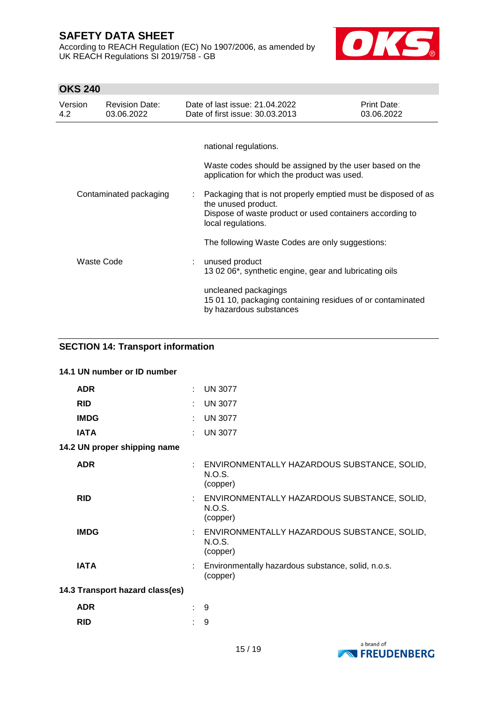According to REACH Regulation (EC) No 1907/2006, as amended by UK REACH Regulations SI 2019/758 - GB



# **OKS 240**

| Version<br>4.2         | <b>Revision Date:</b><br>03.06.2022 | Date of last issue: 21.04.2022<br>Date of first issue: 30.03.2013                                                                                                      | <b>Print Date:</b><br>03.06.2022 |
|------------------------|-------------------------------------|------------------------------------------------------------------------------------------------------------------------------------------------------------------------|----------------------------------|
|                        |                                     |                                                                                                                                                                        |                                  |
|                        |                                     | national regulations.                                                                                                                                                  |                                  |
|                        |                                     | Waste codes should be assigned by the user based on the<br>application for which the product was used.                                                                 |                                  |
| Contaminated packaging |                                     | Packaging that is not properly emptied must be disposed of as<br>the unused product.<br>Dispose of waste product or used containers according to<br>local regulations. |                                  |
|                        |                                     | The following Waste Codes are only suggestions:                                                                                                                        |                                  |
| Waste Code             |                                     | unused product<br>13 02 06*, synthetic engine, gear and lubricating oils                                                                                               |                                  |
|                        |                                     | uncleaned packagings<br>15 01 10, packaging containing residues of or contaminated<br>by hazardous substances                                                          |                                  |

### **SECTION 14: Transport information**

| 14.1 UN number or ID number     |    |                                                                     |
|---------------------------------|----|---------------------------------------------------------------------|
| <b>ADR</b>                      |    | <b>UN 3077</b>                                                      |
| <b>RID</b>                      |    | <b>UN 3077</b>                                                      |
| <b>IMDG</b>                     |    | <b>UN 3077</b>                                                      |
| <b>IATA</b>                     |    | <b>UN 3077</b>                                                      |
| 14.2 UN proper shipping name    |    |                                                                     |
| <b>ADR</b>                      |    | : ENVIRONMENTALLY HAZARDOUS SUBSTANCE, SOLID,<br>N.O.S.<br>(copper) |
| <b>RID</b>                      |    | : ENVIRONMENTALLY HAZARDOUS SUBSTANCE, SOLID,<br>N.O.S.<br>(copper) |
| <b>IMDG</b>                     |    | : ENVIRONMENTALLY HAZARDOUS SUBSTANCE, SOLID,<br>N.O.S.<br>(copper) |
| <b>IATA</b>                     |    | : Environmentally hazardous substance, solid, n.o.s.<br>(copper)    |
| 14.3 Transport hazard class(es) |    |                                                                     |
| <b>ADR</b>                      | ÷. | 9                                                                   |
| <b>RID</b>                      |    | 9                                                                   |

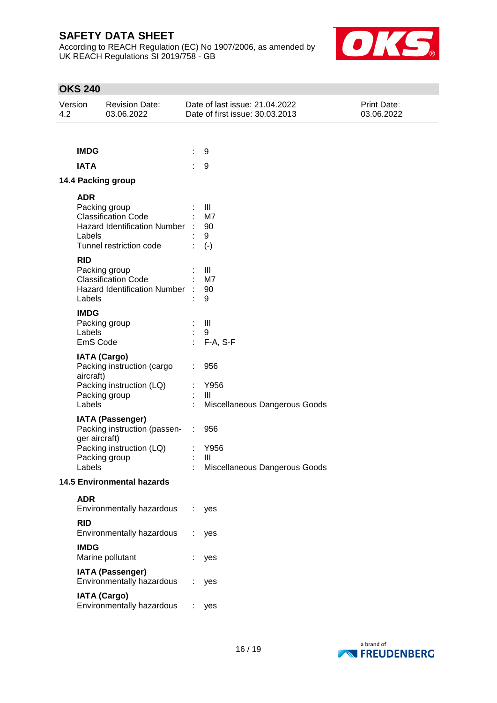According to REACH Regulation (EC) No 1907/2006, as amended by UK REACH Regulations SI 2019/758 - GB



| Version<br>4.2                                                                     | <b>Revision Date:</b><br>03.06.2022                                                                                                                                                                                                                                                                                                                  | Date of last issue: 21.04.2022<br>Date of first issue: 30.03.2013                                                             | Print Date:<br>03.06.2022 |
|------------------------------------------------------------------------------------|------------------------------------------------------------------------------------------------------------------------------------------------------------------------------------------------------------------------------------------------------------------------------------------------------------------------------------------------------|-------------------------------------------------------------------------------------------------------------------------------|---------------------------|
|                                                                                    |                                                                                                                                                                                                                                                                                                                                                      |                                                                                                                               |                           |
| <b>IMDG</b>                                                                        |                                                                                                                                                                                                                                                                                                                                                      | 9                                                                                                                             |                           |
| <b>IATA</b>                                                                        |                                                                                                                                                                                                                                                                                                                                                      | $\boldsymbol{9}$                                                                                                              |                           |
|                                                                                    | 14.4 Packing group                                                                                                                                                                                                                                                                                                                                   |                                                                                                                               |                           |
| <b>ADR</b><br>Labels<br><b>RID</b><br>Labels<br><b>IMDG</b><br>Labels<br>aircraft) | Packing group<br><b>Classification Code</b><br><b>Hazard Identification Number</b><br>Tunnel restriction code<br>Packing group<br><b>Classification Code</b><br><b>Hazard Identification Number</b><br>Packing group<br>EmS Code<br><b>IATA (Cargo)</b><br>Packing instruction (cargo<br>Packing instruction (LQ)<br>Packing group                   | Ш<br>M7<br>90<br>9<br>$(-)$<br>Ш<br>M7<br>90<br>9<br>$\mathbf{III}$<br>9<br>F-A, S-F<br>956<br>Y956<br>Ш                      |                           |
| Labels<br>Labels<br><b>ADR</b><br><b>RID</b><br><b>IMDG</b>                        | <b>IATA (Passenger)</b><br>Packing instruction (passen-<br>ger aircraft)<br>Packing instruction (LQ)<br>Packing group<br><b>14.5 Environmental hazards</b><br>Environmentally hazardous<br>Environmentally hazardous<br>Marine pollutant<br><b>IATA (Passenger)</b><br>Environmentally hazardous<br><b>IATA (Cargo)</b><br>Environmentally hazardous | Miscellaneous Dangerous Goods<br>956<br>Y956<br>III<br>Miscellaneous Dangerous Goods<br>yes<br>t.<br>yes<br>yes<br>yes<br>yes |                           |

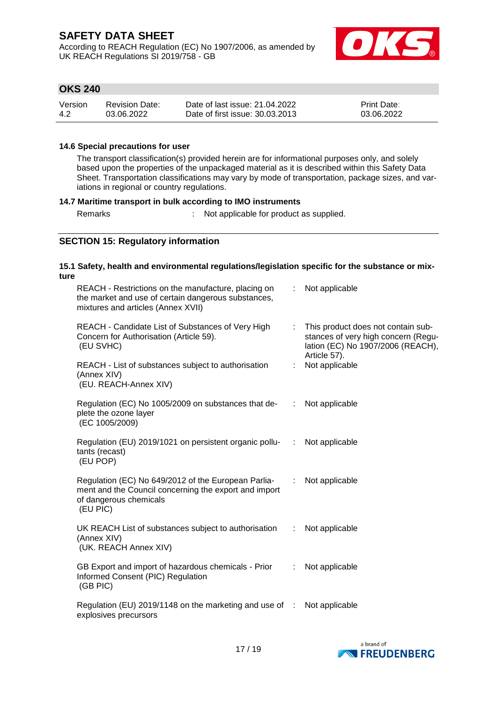According to REACH Regulation (EC) No 1907/2006, as amended by UK REACH Regulations SI 2019/758 - GB



### **OKS 240**

| Version | Revision Date: | Date of last issue: 21.04.2022  | <b>Print Date:</b> |
|---------|----------------|---------------------------------|--------------------|
| 4.2     | 03.06.2022     | Date of first issue: 30.03.2013 | 03.06.2022         |

#### **14.6 Special precautions for user**

The transport classification(s) provided herein are for informational purposes only, and solely based upon the properties of the unpackaged material as it is described within this Safety Data Sheet. Transportation classifications may vary by mode of transportation, package sizes, and variations in regional or country regulations.

#### **14.7 Maritime transport in bulk according to IMO instruments**

Remarks : Not applicable for product as supplied.

### **SECTION 15: Regulatory information**

### **15.1 Safety, health and environmental regulations/legislation specific for the substance or mixture**

| REACH - Restrictions on the manufacture, placing on<br>the market and use of certain dangerous substances,<br>mixtures and articles (Annex XVII)   |                    | : Not applicable |                                                                                                                  |
|----------------------------------------------------------------------------------------------------------------------------------------------------|--------------------|------------------|------------------------------------------------------------------------------------------------------------------|
| REACH - Candidate List of Substances of Very High<br>Concern for Authorisation (Article 59).<br>(EU SVHC)                                          |                    | Article 57).     | : This product does not contain sub-<br>stances of very high concern (Regu-<br>lation (EC) No 1907/2006 (REACH), |
| REACH - List of substances subject to authorisation<br>(Annex XIV)<br>(EU. REACH-Annex XIV)                                                        | t.                 |                  | Not applicable                                                                                                   |
| Regulation (EC) No 1005/2009 on substances that de-<br>plete the ozone layer<br>(EC 1005/2009)                                                     |                    | : Not applicable |                                                                                                                  |
| Regulation (EU) 2019/1021 on persistent organic pollu-<br>:<br>tants (recast)<br>(EU POP)                                                          |                    |                  | Not applicable                                                                                                   |
| Regulation (EC) No 649/2012 of the European Parlia-<br>ment and the Council concerning the export and import<br>of dangerous chemicals<br>(EU PIC) | $\mathbb{Z}^{n-1}$ |                  | Not applicable                                                                                                   |
| UK REACH List of substances subject to authorisation<br>(Annex XIV)<br>(UK. REACH Annex XIV)                                                       |                    | : Not applicable |                                                                                                                  |
| GB Export and import of hazardous chemicals - Prior<br>Informed Consent (PIC) Regulation<br>(GB PIC)                                               | $\mathbb{R}^n$     |                  | Not applicable                                                                                                   |
| Regulation (EU) 2019/1148 on the marketing and use of :<br>explosives precursors                                                                   |                    |                  | Not applicable                                                                                                   |

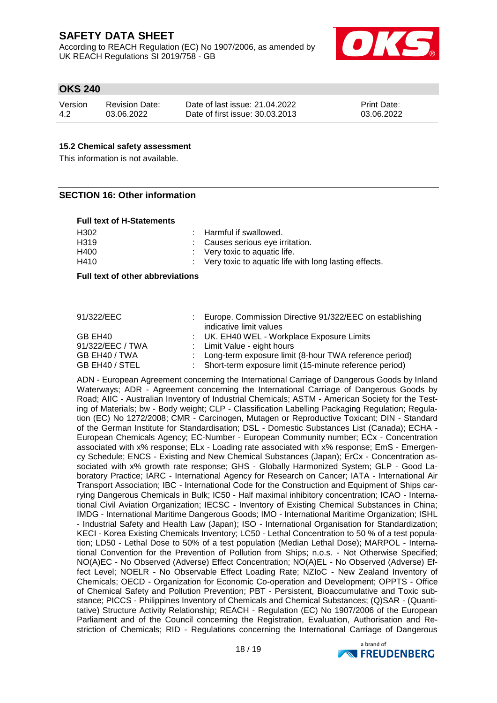According to REACH Regulation (EC) No 1907/2006, as amended by UK REACH Regulations SI 2019/758 - GB



### **OKS 240**

| Version | <b>Revision Date:</b> | Date of last issue: 21.04.2022  | <b>Print Date:</b> |
|---------|-----------------------|---------------------------------|--------------------|
| 4.2     | 03.06.2022            | Date of first issue: 30.03.2013 | 03.06.2022         |

#### **15.2 Chemical safety assessment**

This information is not available.

#### **SECTION 16: Other information**

#### **Full text of H-Statements**

| H <sub>302</sub> | : Harmful if swallowed.                                 |
|------------------|---------------------------------------------------------|
| H319             | : Causes serious eye irritation.                        |
| H400             | $\therefore$ Very toxic to aquatic life.                |
| H410             | : Very toxic to aquatic life with long lasting effects. |

#### **Full text of other abbreviations**

#### 91/322/EEC : Europe. Commission Directive 91/322/EEC on establishing indicative limit values GB EH40 : UK. EH40 WEL - Workplace Exposure Limits 91/322/EEC / TWA : Limit Value - eight hours GB EH40 / TWA : Long-term exposure limit (8-hour TWA reference period) GB EH40 / STEL : Short-term exposure limit (15-minute reference period)

ADN - European Agreement concerning the International Carriage of Dangerous Goods by Inland Waterways; ADR - Agreement concerning the International Carriage of Dangerous Goods by Road; AIIC - Australian Inventory of Industrial Chemicals; ASTM - American Society for the Testing of Materials; bw - Body weight; CLP - Classification Labelling Packaging Regulation; Regulation (EC) No 1272/2008; CMR - Carcinogen, Mutagen or Reproductive Toxicant; DIN - Standard of the German Institute for Standardisation; DSL - Domestic Substances List (Canada); ECHA - European Chemicals Agency; EC-Number - European Community number; ECx - Concentration associated with x% response; ELx - Loading rate associated with x% response; EmS - Emergency Schedule; ENCS - Existing and New Chemical Substances (Japan); ErCx - Concentration associated with x% growth rate response; GHS - Globally Harmonized System; GLP - Good Laboratory Practice; IARC - International Agency for Research on Cancer; IATA - International Air Transport Association; IBC - International Code for the Construction and Equipment of Ships carrying Dangerous Chemicals in Bulk; IC50 - Half maximal inhibitory concentration; ICAO - International Civil Aviation Organization; IECSC - Inventory of Existing Chemical Substances in China; IMDG - International Maritime Dangerous Goods; IMO - International Maritime Organization; ISHL - Industrial Safety and Health Law (Japan); ISO - International Organisation for Standardization; KECI - Korea Existing Chemicals Inventory; LC50 - Lethal Concentration to 50 % of a test population; LD50 - Lethal Dose to 50% of a test population (Median Lethal Dose); MARPOL - International Convention for the Prevention of Pollution from Ships; n.o.s. - Not Otherwise Specified; NO(A)EC - No Observed (Adverse) Effect Concentration; NO(A)EL - No Observed (Adverse) Effect Level; NOELR - No Observable Effect Loading Rate; NZIoC - New Zealand Inventory of Chemicals; OECD - Organization for Economic Co-operation and Development; OPPTS - Office of Chemical Safety and Pollution Prevention; PBT - Persistent, Bioaccumulative and Toxic substance; PICCS - Philippines Inventory of Chemicals and Chemical Substances; (Q)SAR - (Quantitative) Structure Activity Relationship; REACH - Regulation (EC) No 1907/2006 of the European Parliament and of the Council concerning the Registration, Evaluation, Authorisation and Restriction of Chemicals; RID - Regulations concerning the International Carriage of Dangerous